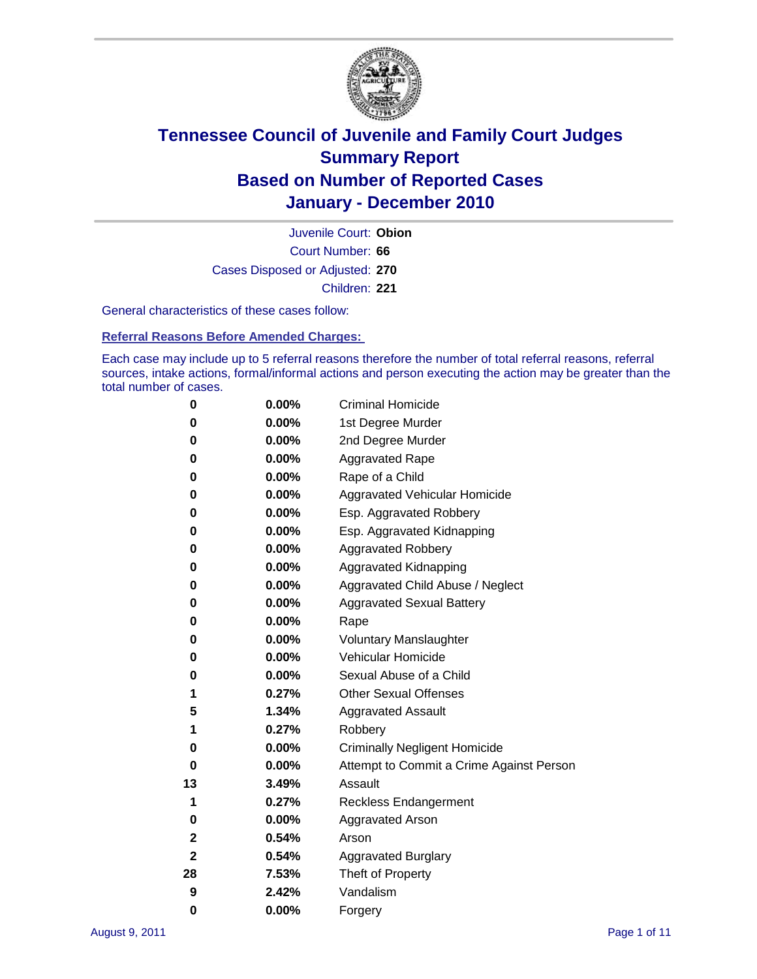

Court Number: **66** Juvenile Court: **Obion** Cases Disposed or Adjusted: **270** Children: **221**

General characteristics of these cases follow:

**Referral Reasons Before Amended Charges:** 

Each case may include up to 5 referral reasons therefore the number of total referral reasons, referral sources, intake actions, formal/informal actions and person executing the action may be greater than the total number of cases.

| 0  | 0.00%    | <b>Criminal Homicide</b>                 |
|----|----------|------------------------------------------|
| 0  | 0.00%    | 1st Degree Murder                        |
| 0  | 0.00%    | 2nd Degree Murder                        |
| 0  | 0.00%    | <b>Aggravated Rape</b>                   |
| 0  | 0.00%    | Rape of a Child                          |
| 0  | 0.00%    | Aggravated Vehicular Homicide            |
| 0  | 0.00%    | Esp. Aggravated Robbery                  |
| 0  | 0.00%    | Esp. Aggravated Kidnapping               |
| 0  | 0.00%    | <b>Aggravated Robbery</b>                |
| 0  | 0.00%    | Aggravated Kidnapping                    |
| 0  | 0.00%    | Aggravated Child Abuse / Neglect         |
| 0  | $0.00\%$ | <b>Aggravated Sexual Battery</b>         |
| 0  | 0.00%    | Rape                                     |
| 0  | 0.00%    | <b>Voluntary Manslaughter</b>            |
| 0  | 0.00%    | Vehicular Homicide                       |
| 0  | 0.00%    | Sexual Abuse of a Child                  |
| 1  | 0.27%    | <b>Other Sexual Offenses</b>             |
| 5  | 1.34%    | <b>Aggravated Assault</b>                |
| 1  | 0.27%    | Robbery                                  |
| 0  | 0.00%    | <b>Criminally Negligent Homicide</b>     |
| 0  | 0.00%    | Attempt to Commit a Crime Against Person |
| 13 | 3.49%    | Assault                                  |
| 1  | 0.27%    | <b>Reckless Endangerment</b>             |
| 0  | 0.00%    | <b>Aggravated Arson</b>                  |
| 2  | 0.54%    | Arson                                    |
| 2  | 0.54%    | <b>Aggravated Burglary</b>               |
| 28 | 7.53%    | Theft of Property                        |
| 9  | 2.42%    | Vandalism                                |
| 0  | 0.00%    | Forgery                                  |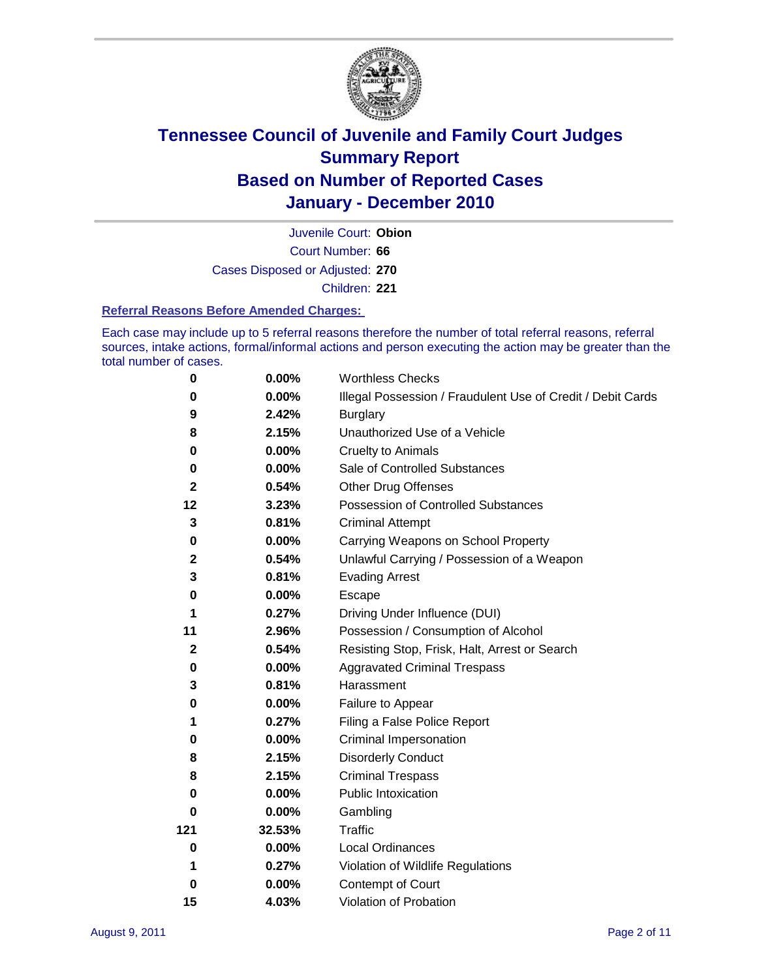

Court Number: **66** Juvenile Court: **Obion** Cases Disposed or Adjusted: **270** Children: **221**

#### **Referral Reasons Before Amended Charges:**

Each case may include up to 5 referral reasons therefore the number of total referral reasons, referral sources, intake actions, formal/informal actions and person executing the action may be greater than the total number of cases.

| $\pmb{0}$   | 0.00%    | <b>Worthless Checks</b>                                     |
|-------------|----------|-------------------------------------------------------------|
| 0           | 0.00%    | Illegal Possession / Fraudulent Use of Credit / Debit Cards |
| 9           | 2.42%    | <b>Burglary</b>                                             |
| 8           | 2.15%    | Unauthorized Use of a Vehicle                               |
| 0           | $0.00\%$ | <b>Cruelty to Animals</b>                                   |
| 0           | 0.00%    | Sale of Controlled Substances                               |
| 2           | 0.54%    | <b>Other Drug Offenses</b>                                  |
| 12          | 3.23%    | Possession of Controlled Substances                         |
| 3           | 0.81%    | <b>Criminal Attempt</b>                                     |
| 0           | 0.00%    | Carrying Weapons on School Property                         |
| $\mathbf 2$ | 0.54%    | Unlawful Carrying / Possession of a Weapon                  |
| 3           | 0.81%    | <b>Evading Arrest</b>                                       |
| 0           | 0.00%    | Escape                                                      |
| 1           | 0.27%    | Driving Under Influence (DUI)                               |
| 11          | 2.96%    | Possession / Consumption of Alcohol                         |
| $\mathbf 2$ | 0.54%    | Resisting Stop, Frisk, Halt, Arrest or Search               |
| 0           | $0.00\%$ | <b>Aggravated Criminal Trespass</b>                         |
| 3           | 0.81%    | Harassment                                                  |
| 0           | 0.00%    | Failure to Appear                                           |
| 1           | 0.27%    | Filing a False Police Report                                |
| 0           | 0.00%    | Criminal Impersonation                                      |
| 8           | 2.15%    | <b>Disorderly Conduct</b>                                   |
| 8           | 2.15%    | <b>Criminal Trespass</b>                                    |
| $\bf{0}$    | 0.00%    | <b>Public Intoxication</b>                                  |
| 0           | $0.00\%$ | Gambling                                                    |
| 121         | 32.53%   | Traffic                                                     |
| 0           | $0.00\%$ | <b>Local Ordinances</b>                                     |
| 1           | 0.27%    | Violation of Wildlife Regulations                           |
| 0           | $0.00\%$ | Contempt of Court                                           |
| 15          | 4.03%    | Violation of Probation                                      |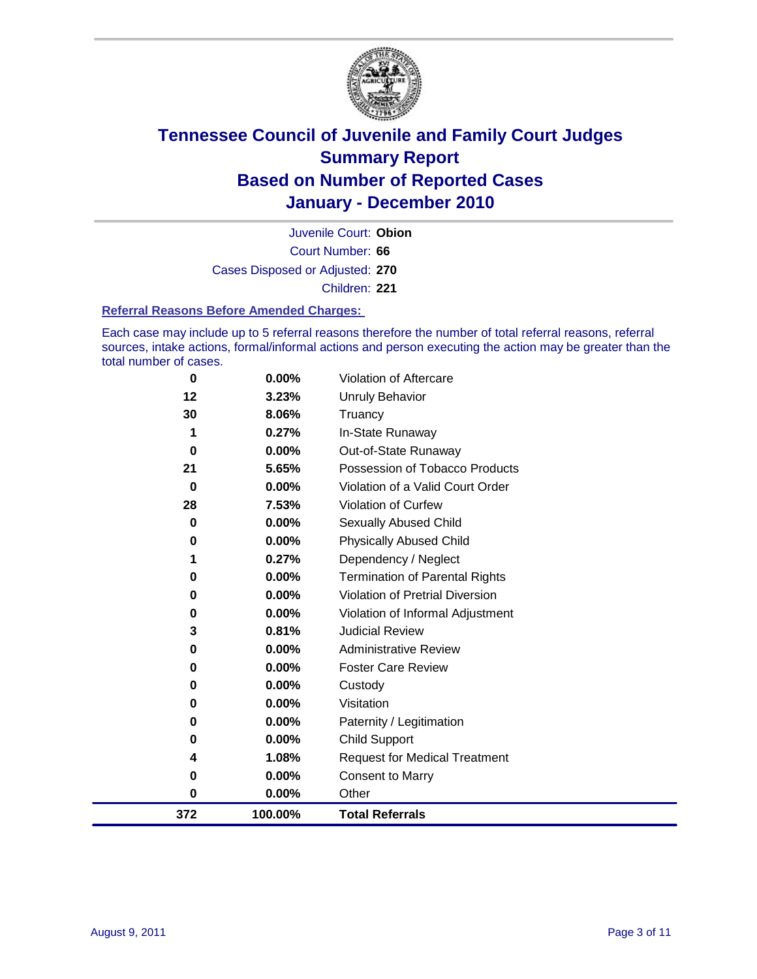

Court Number: **66** Juvenile Court: **Obion** Cases Disposed or Adjusted: **270** Children: **221**

#### **Referral Reasons Before Amended Charges:**

Each case may include up to 5 referral reasons therefore the number of total referral reasons, referral sources, intake actions, formal/informal actions and person executing the action may be greater than the total number of cases.

| $\bf{0}$ | 0.00%    | Violation of Aftercare                 |
|----------|----------|----------------------------------------|
| 12       | 3.23%    | <b>Unruly Behavior</b>                 |
| 30       | 8.06%    | Truancy                                |
| 1        | 0.27%    | In-State Runaway                       |
| 0        | $0.00\%$ | Out-of-State Runaway                   |
| 21       | 5.65%    | Possession of Tobacco Products         |
| $\bf{0}$ | $0.00\%$ | Violation of a Valid Court Order       |
| 28       | 7.53%    | Violation of Curfew                    |
| $\bf{0}$ | $0.00\%$ | <b>Sexually Abused Child</b>           |
| 0        | 0.00%    | <b>Physically Abused Child</b>         |
|          | 0.27%    | Dependency / Neglect                   |
| 0        | 0.00%    | <b>Termination of Parental Rights</b>  |
| 0        | 0.00%    | <b>Violation of Pretrial Diversion</b> |
| 0        | 0.00%    | Violation of Informal Adjustment       |
| 3        | 0.81%    | <b>Judicial Review</b>                 |
| 0        | $0.00\%$ | <b>Administrative Review</b>           |
| 0        | 0.00%    | <b>Foster Care Review</b>              |
| 0        | $0.00\%$ | Custody                                |
| 0        | 0.00%    | Visitation                             |
| 0        | 0.00%    | Paternity / Legitimation               |
| 0        | 0.00%    | <b>Child Support</b>                   |
| 4        | 1.08%    | <b>Request for Medical Treatment</b>   |
| 0        | 0.00%    | <b>Consent to Marry</b>                |
| $\bf{0}$ | 0.00%    | Other                                  |
| 372      | 100.00%  | <b>Total Referrals</b>                 |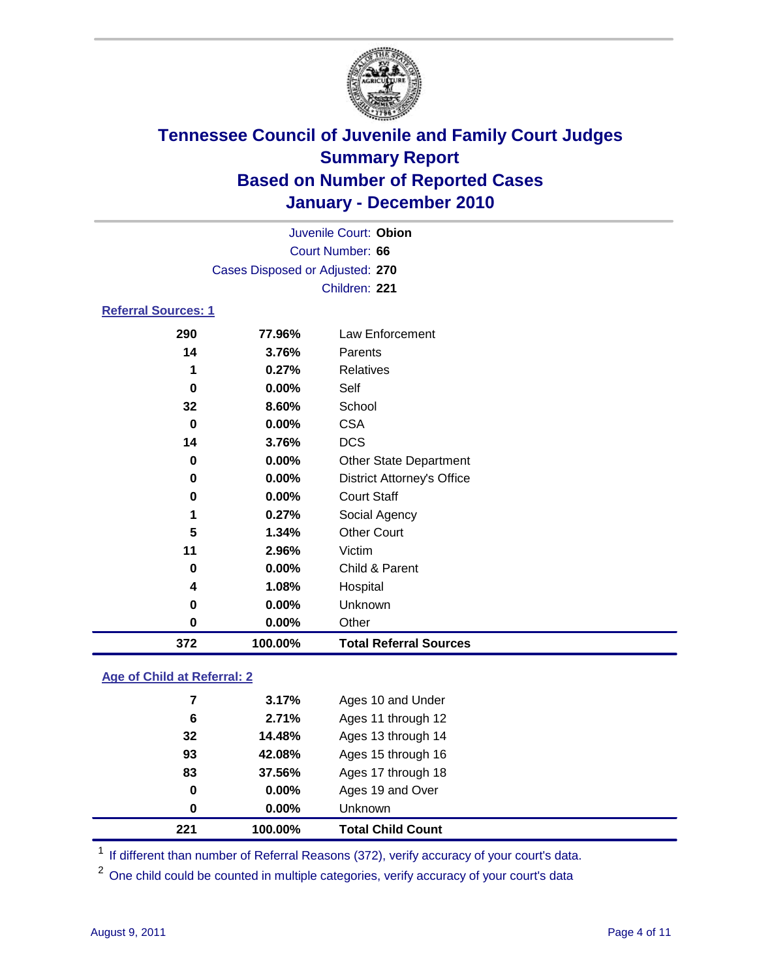

| 372                        | 100.00%                         | <b>Total Referral Sources</b>     |  |  |  |
|----------------------------|---------------------------------|-----------------------------------|--|--|--|
| 0                          | 0.00%                           | Other                             |  |  |  |
| 0                          | 0.00%                           | Unknown                           |  |  |  |
| 4                          | 1.08%                           | Hospital                          |  |  |  |
| 0                          | $0.00\%$                        | Child & Parent                    |  |  |  |
| 11                         | 2.96%                           | Victim                            |  |  |  |
| 5                          | 1.34%                           | <b>Other Court</b>                |  |  |  |
| 1                          | 0.27%                           | Social Agency                     |  |  |  |
| 0                          | 0.00%                           | <b>Court Staff</b>                |  |  |  |
| 0                          | $0.00\%$                        | <b>District Attorney's Office</b> |  |  |  |
| 0                          | $0.00\%$                        | <b>Other State Department</b>     |  |  |  |
| 14                         | 3.76%                           | <b>DCS</b>                        |  |  |  |
| 0                          | $0.00\%$                        | <b>CSA</b>                        |  |  |  |
| 32                         | 8.60%                           | School                            |  |  |  |
| 0                          | 0.00%                           | Self                              |  |  |  |
| 1                          | 0.27%                           | <b>Relatives</b>                  |  |  |  |
| 14                         | 3.76%                           | Parents                           |  |  |  |
| 290                        | 77.96%                          | <b>Law Enforcement</b>            |  |  |  |
| <b>Referral Sources: 1</b> |                                 |                                   |  |  |  |
|                            |                                 | Children: 221                     |  |  |  |
|                            | Cases Disposed or Adjusted: 270 |                                   |  |  |  |
|                            | Court Number: 66                |                                   |  |  |  |
|                            |                                 | Juvenile Court: Obion             |  |  |  |
|                            |                                 |                                   |  |  |  |

### **Age of Child at Referral: 2**

| 221 | 100.00%  | <b>Total Child Count</b> |
|-----|----------|--------------------------|
| 0   | $0.00\%$ | <b>Unknown</b>           |
| 0   | 0.00%    | Ages 19 and Over         |
| 83  | 37.56%   | Ages 17 through 18       |
| 93  | 42.08%   | Ages 15 through 16       |
| 32  | 14.48%   | Ages 13 through 14       |
| 6   | 2.71%    | Ages 11 through 12       |
| 7   | 3.17%    | Ages 10 and Under        |
|     |          |                          |

<sup>1</sup> If different than number of Referral Reasons (372), verify accuracy of your court's data.

<sup>2</sup> One child could be counted in multiple categories, verify accuracy of your court's data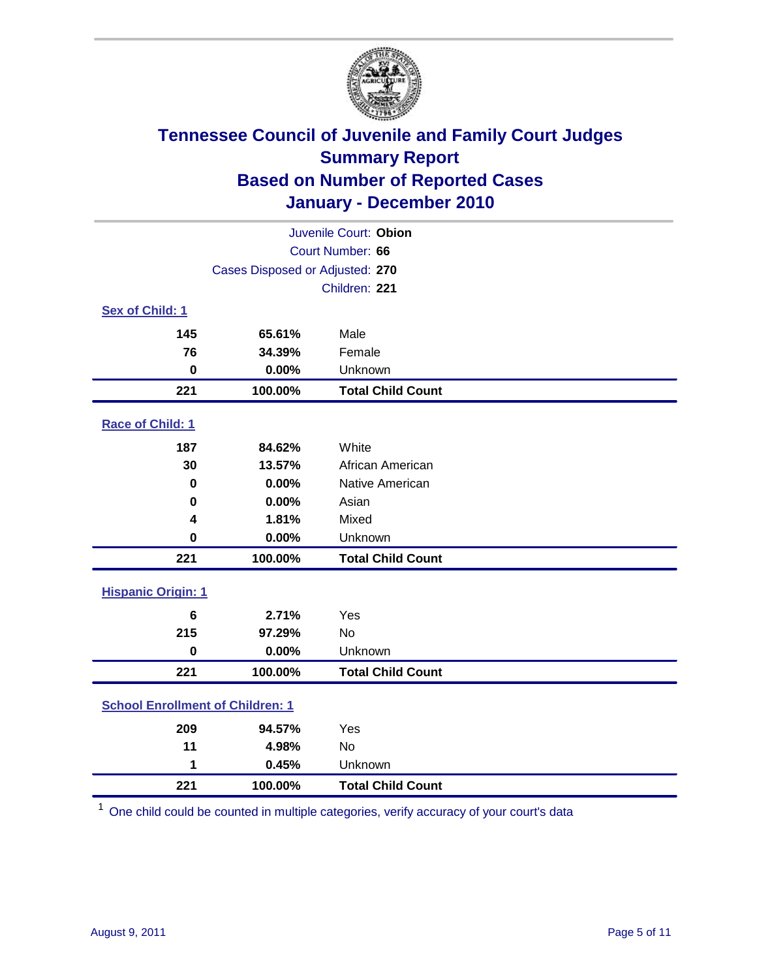

| Juvenile Court: Obion                   |                                 |                          |  |  |  |
|-----------------------------------------|---------------------------------|--------------------------|--|--|--|
|                                         | Court Number: 66                |                          |  |  |  |
|                                         | Cases Disposed or Adjusted: 270 |                          |  |  |  |
|                                         |                                 | Children: 221            |  |  |  |
| Sex of Child: 1                         |                                 |                          |  |  |  |
| 145                                     | 65.61%                          | Male                     |  |  |  |
| 76                                      | 34.39%                          | Female                   |  |  |  |
| $\mathbf 0$                             | 0.00%                           | Unknown                  |  |  |  |
| 221                                     | 100.00%                         | <b>Total Child Count</b> |  |  |  |
| Race of Child: 1                        |                                 |                          |  |  |  |
| 187                                     | 84.62%                          | White                    |  |  |  |
| 30                                      | 13.57%                          | African American         |  |  |  |
| 0                                       | 0.00%                           | Native American          |  |  |  |
| 0                                       | 0.00%                           | Asian                    |  |  |  |
| 4                                       | 1.81%                           | Mixed                    |  |  |  |
| $\mathbf 0$                             | 0.00%                           | Unknown                  |  |  |  |
| 221                                     | 100.00%                         | <b>Total Child Count</b> |  |  |  |
| <b>Hispanic Origin: 1</b>               |                                 |                          |  |  |  |
| 6                                       | 2.71%                           | Yes                      |  |  |  |
| 215                                     | 97.29%                          | No                       |  |  |  |
| $\mathbf 0$                             | 0.00%                           | Unknown                  |  |  |  |
| 221                                     | 100.00%                         | <b>Total Child Count</b> |  |  |  |
| <b>School Enrollment of Children: 1</b> |                                 |                          |  |  |  |
| 209                                     | 94.57%                          | Yes                      |  |  |  |
| 11                                      | 4.98%                           | No                       |  |  |  |
| 1                                       | 0.45%                           | Unknown                  |  |  |  |
| 221                                     | 100.00%                         | <b>Total Child Count</b> |  |  |  |

One child could be counted in multiple categories, verify accuracy of your court's data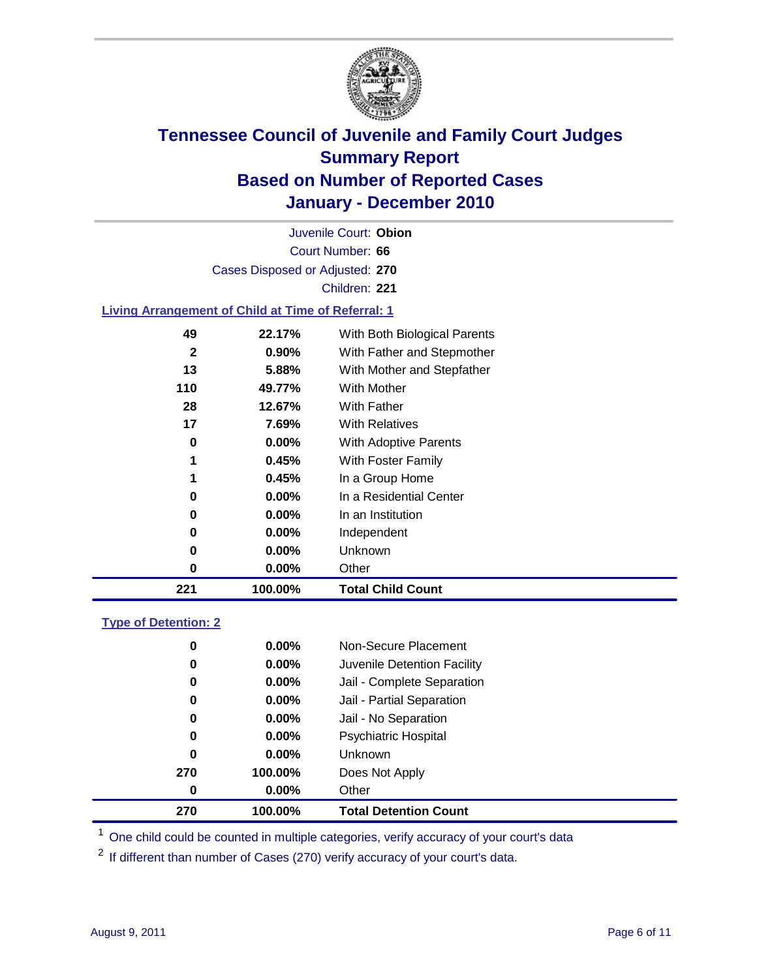

Court Number: **66** Juvenile Court: **Obion** Cases Disposed or Adjusted: **270** Children: **221**

#### **Living Arrangement of Child at Time of Referral: 1**

| 221          | 100.00%  | <b>Total Child Count</b>     |  |
|--------------|----------|------------------------------|--|
| 0            | 0.00%    | Other                        |  |
| 0            | $0.00\%$ | <b>Unknown</b>               |  |
| 0            | $0.00\%$ | Independent                  |  |
| 0            | $0.00\%$ | In an Institution            |  |
| 0            | $0.00\%$ | In a Residential Center      |  |
| 1            | 0.45%    | In a Group Home              |  |
| 1            | 0.45%    | With Foster Family           |  |
| 0            | 0.00%    | With Adoptive Parents        |  |
| 17           | 7.69%    | <b>With Relatives</b>        |  |
| 28           | 12.67%   | <b>With Father</b>           |  |
| 110          | 49.77%   | <b>With Mother</b>           |  |
| 13           | 5.88%    | With Mother and Stepfather   |  |
| $\mathbf{2}$ | $0.90\%$ | With Father and Stepmother   |  |
| 49           | 22.17%   | With Both Biological Parents |  |
|              |          |                              |  |

#### **Type of Detention: 2**

| 270      | 100.00%  | <b>Total Detention Count</b> |  |
|----------|----------|------------------------------|--|
| 0        | $0.00\%$ | Other                        |  |
| 270      | 100.00%  | Does Not Apply               |  |
| 0        | $0.00\%$ | Unknown                      |  |
| 0        | 0.00%    | <b>Psychiatric Hospital</b>  |  |
| $\bf{0}$ | 0.00%    | Jail - No Separation         |  |
| 0        | $0.00\%$ | Jail - Partial Separation    |  |
| 0        | $0.00\%$ | Jail - Complete Separation   |  |
| 0        | 0.00%    | Juvenile Detention Facility  |  |
| 0        | $0.00\%$ | Non-Secure Placement         |  |
|          |          |                              |  |

<sup>1</sup> One child could be counted in multiple categories, verify accuracy of your court's data

<sup>2</sup> If different than number of Cases (270) verify accuracy of your court's data.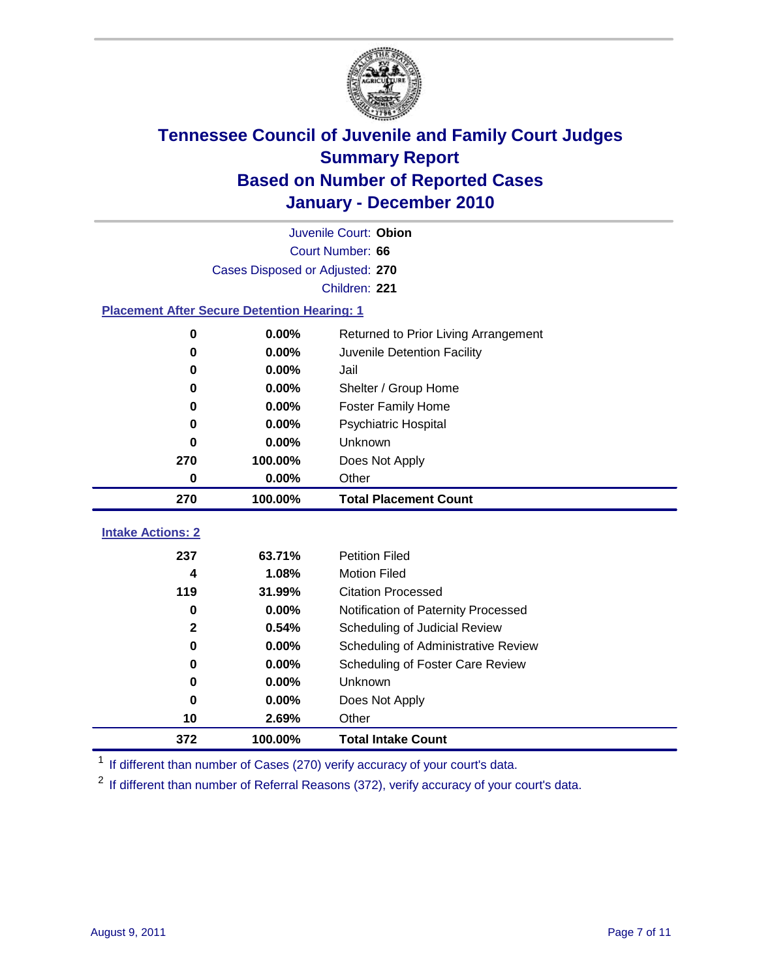

| $\bf{0}$<br>$\bf{0}$                               | 0.00%                           | Does Not Apply                       |  |  |  |
|----------------------------------------------------|---------------------------------|--------------------------------------|--|--|--|
|                                                    |                                 |                                      |  |  |  |
|                                                    | 0.00%                           | Unknown                              |  |  |  |
| 0                                                  | 0.00%                           | Scheduling of Foster Care Review     |  |  |  |
| $\bf{0}$                                           | 0.00%                           | Scheduling of Administrative Review  |  |  |  |
| $\mathbf{2}$                                       | 0.54%                           | Scheduling of Judicial Review        |  |  |  |
| $\bf{0}$                                           | 0.00%                           | Notification of Paternity Processed  |  |  |  |
| 119                                                | 31.99%                          | <b>Citation Processed</b>            |  |  |  |
| 4                                                  | 1.08%                           | <b>Motion Filed</b>                  |  |  |  |
| 237                                                | 63.71%                          | <b>Petition Filed</b>                |  |  |  |
| <b>Intake Actions: 2</b>                           |                                 |                                      |  |  |  |
| 270                                                | 100.00%                         | <b>Total Placement Count</b>         |  |  |  |
| $\mathbf 0$                                        | 0.00%                           | Other                                |  |  |  |
| 270                                                | 100.00%                         | Does Not Apply                       |  |  |  |
| 0                                                  | 0.00%                           | Unknown                              |  |  |  |
| $\bf{0}$                                           | 0.00%                           | Psychiatric Hospital                 |  |  |  |
| 0                                                  | 0.00%                           | <b>Foster Family Home</b>            |  |  |  |
| 0                                                  | 0.00%                           | Shelter / Group Home                 |  |  |  |
| $\bf{0}$                                           | 0.00%                           | Jail                                 |  |  |  |
| $\bf{0}$                                           | 0.00%                           | Juvenile Detention Facility          |  |  |  |
| $\mathbf 0$                                        | 0.00%                           | Returned to Prior Living Arrangement |  |  |  |
| <b>Placement After Secure Detention Hearing: 1</b> |                                 |                                      |  |  |  |
|                                                    |                                 | Children: 221                        |  |  |  |
|                                                    | Cases Disposed or Adjusted: 270 |                                      |  |  |  |
|                                                    | Court Number: 66                |                                      |  |  |  |
|                                                    | Juvenile Court: Obion           |                                      |  |  |  |

<sup>1</sup> If different than number of Cases (270) verify accuracy of your court's data.

<sup>2</sup> If different than number of Referral Reasons (372), verify accuracy of your court's data.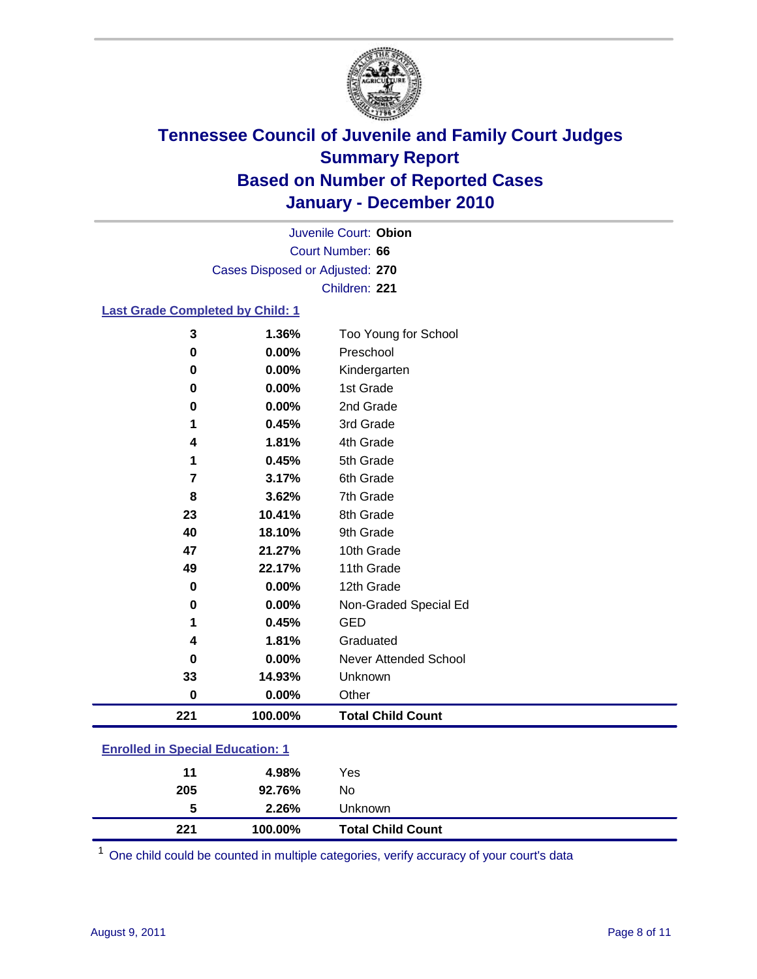

Court Number: **66** Juvenile Court: **Obion** Cases Disposed or Adjusted: **270** Children: **221**

#### **Last Grade Completed by Child: 1**

| 221            | 100.00%        | <b>Total Child Count</b>          |
|----------------|----------------|-----------------------------------|
| $\bf{0}$       | 0.00%          | Other                             |
| 33             | 14.93%         | Unknown                           |
| 0              | 0.00%          | <b>Never Attended School</b>      |
| 4              | 1.81%          | Graduated                         |
| 1              | 0.45%          | <b>GED</b>                        |
| 0              | 0.00%          | Non-Graded Special Ed             |
| $\mathbf 0$    | $0.00\%$       | 12th Grade                        |
| 49             | 22.17%         | 11th Grade                        |
| 47             | 21.27%         | 10th Grade                        |
| 40             | 18.10%         | 9th Grade                         |
| 23             | 10.41%         | 8th Grade                         |
| 8              | 3.62%          | 7th Grade                         |
| 7              | 3.17%          | 6th Grade                         |
| 1              | 0.45%          | 5th Grade                         |
| 4              | 1.81%          | 4th Grade                         |
| 1              | 0.45%          | 3rd Grade                         |
| 0              | $0.00\%$       | 2nd Grade                         |
| 0              | 0.00%          | 1st Grade                         |
| 0              | $0.00\%$       | Kindergarten                      |
| 3<br>$\pmb{0}$ | 1.36%<br>0.00% | Too Young for School<br>Preschool |

### **Enrolled in Special Education: 1**

| 221 | 100.00%     | <b>Total Child Count</b> |
|-----|-------------|--------------------------|
|     | 2.26%<br>5  | Unknown                  |
| 205 | 92.76%      | No                       |
|     | 4.98%<br>11 | Yes                      |
|     |             |                          |

One child could be counted in multiple categories, verify accuracy of your court's data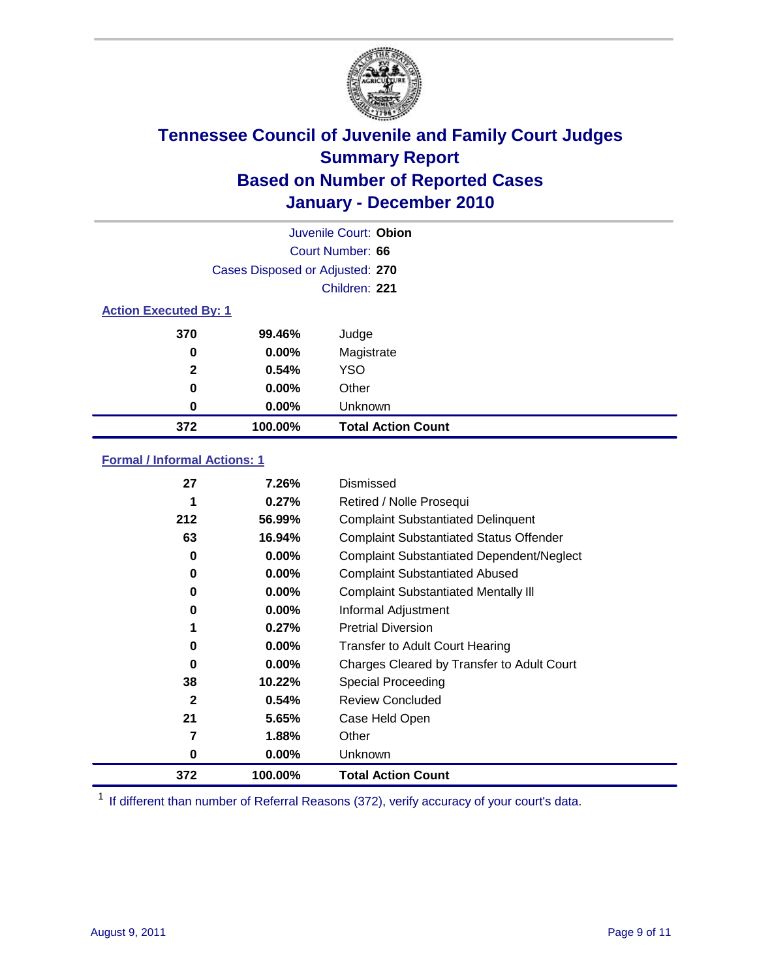

|                              | Juvenile Court: Obion           |                           |  |  |  |
|------------------------------|---------------------------------|---------------------------|--|--|--|
|                              | Court Number: 66                |                           |  |  |  |
|                              | Cases Disposed or Adjusted: 270 |                           |  |  |  |
|                              |                                 | Children: 221             |  |  |  |
| <b>Action Executed By: 1</b> |                                 |                           |  |  |  |
| 370                          | 99.46%                          | Judge                     |  |  |  |
| 0                            | $0.00\%$                        | Magistrate                |  |  |  |
| $\mathbf{2}$                 | 0.54%                           | <b>YSO</b>                |  |  |  |
| 0                            | 0.00%                           | Other                     |  |  |  |
| 0                            | 0.00%                           | Unknown                   |  |  |  |
| 372                          | 100.00%                         | <b>Total Action Count</b> |  |  |  |

#### **Formal / Informal Actions: 1**

| 27           | 7.26%    | Dismissed                                        |
|--------------|----------|--------------------------------------------------|
|              | 0.27%    | Retired / Nolle Prosequi                         |
| 212          | 56.99%   | <b>Complaint Substantiated Delinquent</b>        |
| 63           | 16.94%   | <b>Complaint Substantiated Status Offender</b>   |
| 0            | $0.00\%$ | <b>Complaint Substantiated Dependent/Neglect</b> |
| 0            | $0.00\%$ | <b>Complaint Substantiated Abused</b>            |
| 0            | $0.00\%$ | <b>Complaint Substantiated Mentally III</b>      |
| 0            | $0.00\%$ | Informal Adjustment                              |
| 1            | 0.27%    | <b>Pretrial Diversion</b>                        |
| 0            | $0.00\%$ | <b>Transfer to Adult Court Hearing</b>           |
| 0            | $0.00\%$ | Charges Cleared by Transfer to Adult Court       |
| 38           | 10.22%   | Special Proceeding                               |
| $\mathbf{2}$ | 0.54%    | <b>Review Concluded</b>                          |
| 21           | 5.65%    | Case Held Open                                   |
| 7            | 1.88%    | Other                                            |
| 0            | $0.00\%$ | <b>Unknown</b>                                   |
| 372          | 100.00%  | <b>Total Action Count</b>                        |

<sup>1</sup> If different than number of Referral Reasons (372), verify accuracy of your court's data.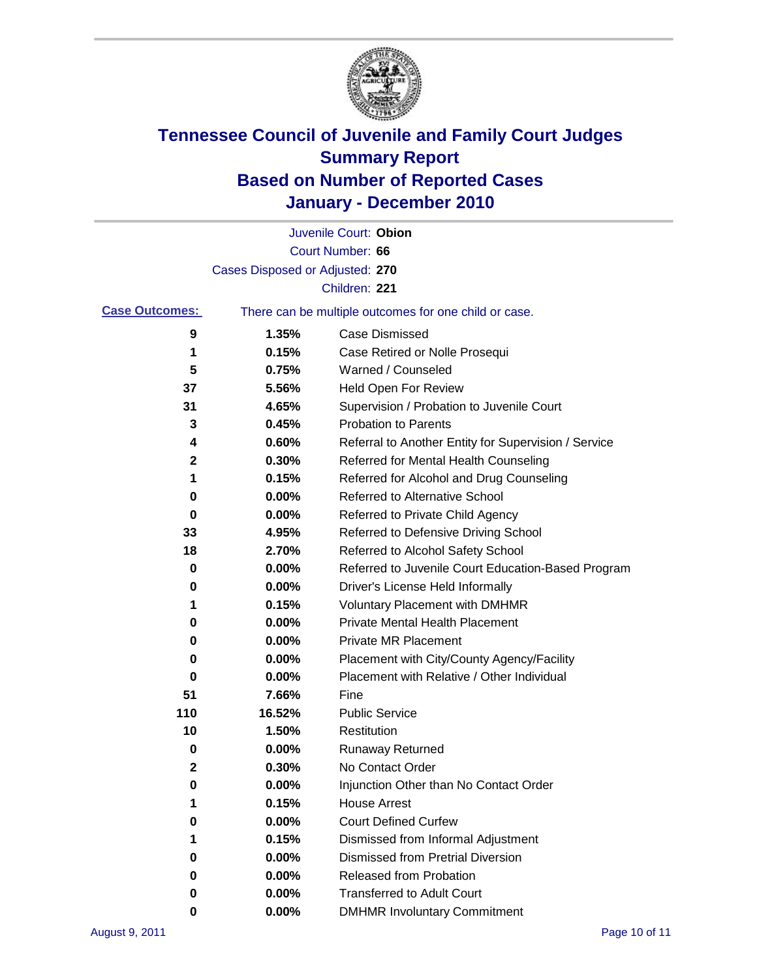

|                       |                                 | Juvenile Court: Obion                                 |
|-----------------------|---------------------------------|-------------------------------------------------------|
|                       |                                 | Court Number: 66                                      |
|                       | Cases Disposed or Adjusted: 270 |                                                       |
|                       |                                 | Children: 221                                         |
| <b>Case Outcomes:</b> |                                 | There can be multiple outcomes for one child or case. |
| 9                     | 1.35%                           | <b>Case Dismissed</b>                                 |
| 1                     | 0.15%                           | Case Retired or Nolle Prosequi                        |
| 5                     | 0.75%                           | Warned / Counseled                                    |
| 37                    | 5.56%                           | Held Open For Review                                  |
| 31                    | 4.65%                           | Supervision / Probation to Juvenile Court             |
| 3                     | 0.45%                           | <b>Probation to Parents</b>                           |
| 4                     | 0.60%                           | Referral to Another Entity for Supervision / Service  |
| 2                     | 0.30%                           | Referred for Mental Health Counseling                 |
| 1                     | 0.15%                           | Referred for Alcohol and Drug Counseling              |
| 0                     | 0.00%                           | <b>Referred to Alternative School</b>                 |
| 0                     | 0.00%                           | Referred to Private Child Agency                      |
| 33                    | 4.95%                           | Referred to Defensive Driving School                  |
| 18                    | 2.70%                           | Referred to Alcohol Safety School                     |
| 0                     | 0.00%                           | Referred to Juvenile Court Education-Based Program    |
| 0                     | 0.00%                           | Driver's License Held Informally                      |
| 1                     | 0.15%                           | <b>Voluntary Placement with DMHMR</b>                 |
| 0                     | 0.00%                           | <b>Private Mental Health Placement</b>                |
| 0                     | 0.00%                           | <b>Private MR Placement</b>                           |
| 0                     | 0.00%                           | Placement with City/County Agency/Facility            |
| 0                     | 0.00%                           | Placement with Relative / Other Individual            |
| 51                    | 7.66%                           | Fine                                                  |
| 110                   | 16.52%                          | <b>Public Service</b>                                 |
| 10                    | 1.50%                           | Restitution                                           |
| 0                     | 0.00%                           | <b>Runaway Returned</b>                               |
| 2                     | 0.30%                           | No Contact Order                                      |
| 0                     | 0.00%                           | Injunction Other than No Contact Order                |
|                       | 0.15%                           | <b>House Arrest</b>                                   |
| 0                     | 0.00%                           | <b>Court Defined Curfew</b>                           |
| 1                     | 0.15%                           | Dismissed from Informal Adjustment                    |
| 0                     | 0.00%                           | <b>Dismissed from Pretrial Diversion</b>              |
| 0                     | 0.00%                           | <b>Released from Probation</b>                        |
| 0                     | 0.00%                           | <b>Transferred to Adult Court</b>                     |
| 0                     | $0.00\%$                        | <b>DMHMR Involuntary Commitment</b>                   |